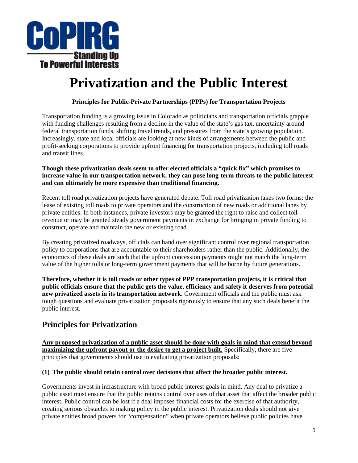

# **Privatization and the Public Interest**

### **Principles for Public-Private Partnerships (PPPs) for Transportation Projects**

Transportation funding is a growing issue in Colorado as politicians and transportation officials grapple with funding challenges resulting from a decline in the value of the state's gas tax, uncertainty around federal transportation funds, shifting travel trends, and pressures from the state's growing population. Increasingly, state and local officials are looking at new kinds of arrangements between the public and profit-seeking corporations to provide upfront financing for transportation projects, including toll roads and transit lines.

#### **Though these privatization deals seem to offer elected officials a "quick fix" which promises to increase value in our transportation network, they can pose long-term threats to the public interest and can ultimately be more expensive than traditional financing.**

Recent toll road privatization projects have generated debate. Toll road privatization takes two forms: the lease of existing toll roads to private operators and the construction of new roads or additional lanes by private entities. In both instances, private investors may be granted the right to raise and collect toll revenue or may be granted steady government payments in exchange for bringing in private funding to construct, operate and maintain the new or existing road.

By creating privatized roadways, officials can hand over significant control over regional transportation policy to corporations that are accountable to their shareholders rather than the public. Additionally, the economics of these deals are such that the upfront concession payments might not match the long-term value of the higher tolls or long-term government payments that will be borne by future generations.

**Therefore, whether it is toll roads or other types of PPP transportation projects, it is critical that public officials ensure that the public gets the value, efficiency and safety it deserves from potential new privatized assets in its transportation network.** Government officials and the public must ask tough questions and evaluate privatization proposals rigorously to ensure that any such deals benefit the public interest.

## **Principles for Privatization**

**Any proposed privatization of a public asset should be done with goals in mind that extend beyond maximizing the upfront payout or the desire to get a project built.** Specifically, there are five principles that governments should use in evaluating privatization proposals:

#### **(1) The public should retain control over decisions that affect the broader public interest.**

Governments invest in infrastructure with broad public interest goals in mind. Any deal to privatize a public asset must ensure that the public retains control over uses of that asset that affect the broader public interest. Public control can be lost if a deal imposes financial costs for the exercise of that authority, creating serious obstacles to making policy in the public interest. Privatization deals should not give private entities broad powers for "compensation" when private operators believe public policies have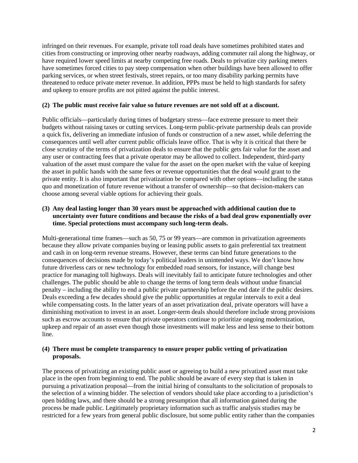infringed on their revenues. For example, private toll road deals have sometimes prohibited states and cities from constructing or improving other nearby roadways, adding commuter rail along the highway, or have required lower speed limits at nearby competing free roads. Deals to privatize city parking meters have sometimes forced cities to pay steep compensation when other buildings have been allowed to offer parking services, or when street festivals, street repairs, or too many disability parking permits have threatened to reduce private meter revenue. In addition, PPPs must be held to high standards for safety and upkeep to ensure profits are not pitted against the public interest.

#### **(2) The public must receive fair value so future revenues are not sold off at a discount.**

Public officials—particularly during times of budgetary stress—face extreme pressure to meet their budgets without raising taxes or cutting services. Long-term public-private partnership deals can provide a quick fix, delivering an immediate infusion of funds or construction of a new asset, while deferring the consequences until well after current public officials leave office. That is why it is critical that there be close scrutiny of the terms of privatization deals to ensure that the public gets fair value for the asset and any user or contracting fees that a private operator may be allowed to collect. Independent, third-party valuation of the asset must compare the value for the asset on the open market with the value of keeping the asset in public hands with the same fees or revenue opportunities that the deal would grant to the private entity. It is also important that privatization be compared with other options—including the status quo and monetization of future revenue without a transfer of ownership—so that decision-makers can choose among several viable options for achieving their goals.

#### **(3) Any deal lasting longer than 30 years must be approached with additional caution due to uncertainty over future conditions and because the risks of a bad deal grow exponentially over time. Special protections must accompany such long-term deals.**

Multi-generational time frames—such as 50, 75 or 99 years—are common in privatization agreements because they allow private companies buying or leasing public assets to gain preferential tax treatment and cash in on long-term revenue streams. However, these terms can bind future generations to the consequences of decisions made by today's political leaders in unintended ways. We don't know how future driverless cars or new technology for embedded road sensors, for instance, will change best practice for managing toll highways. Deals will inevitably fail to anticipate future technologies and other challenges. The public should be able to change the terms of long term deals without undue financial penalty – including the ability to end a public private partnership before the end date if the public desires. Deals exceeding a few decades should give the public opportunities at regular intervals to exit a deal while compensating costs. In the latter years of an asset privatization deal, private operators will have a diminishing motivation to invest in an asset. Longer-term deals should therefore include strong provisions such as escrow accounts to ensure that private operators continue to prioritize ongoing modernization, upkeep and repair of an asset even though those investments will make less and less sense to their bottom line.

#### **(4) There must be complete transparency to ensure proper public vetting of privatization proposals.**

The process of privatizing an existing public asset or agreeing to build a new privatized asset must take place in the open from beginning to end. The public should be aware of every step that is taken in pursuing a privatization proposal—from the initial hiring of consultants to the solicitation of proposals to the selection of a winning bidder. The selection of vendors should take place according to a jurisdiction's open bidding laws, and there should be a strong presumption that all information gained during the process be made public. Legitimately proprietary information such as traffic analysis studies may be restricted for a few years from general public disclosure, but some public entity rather than the companies